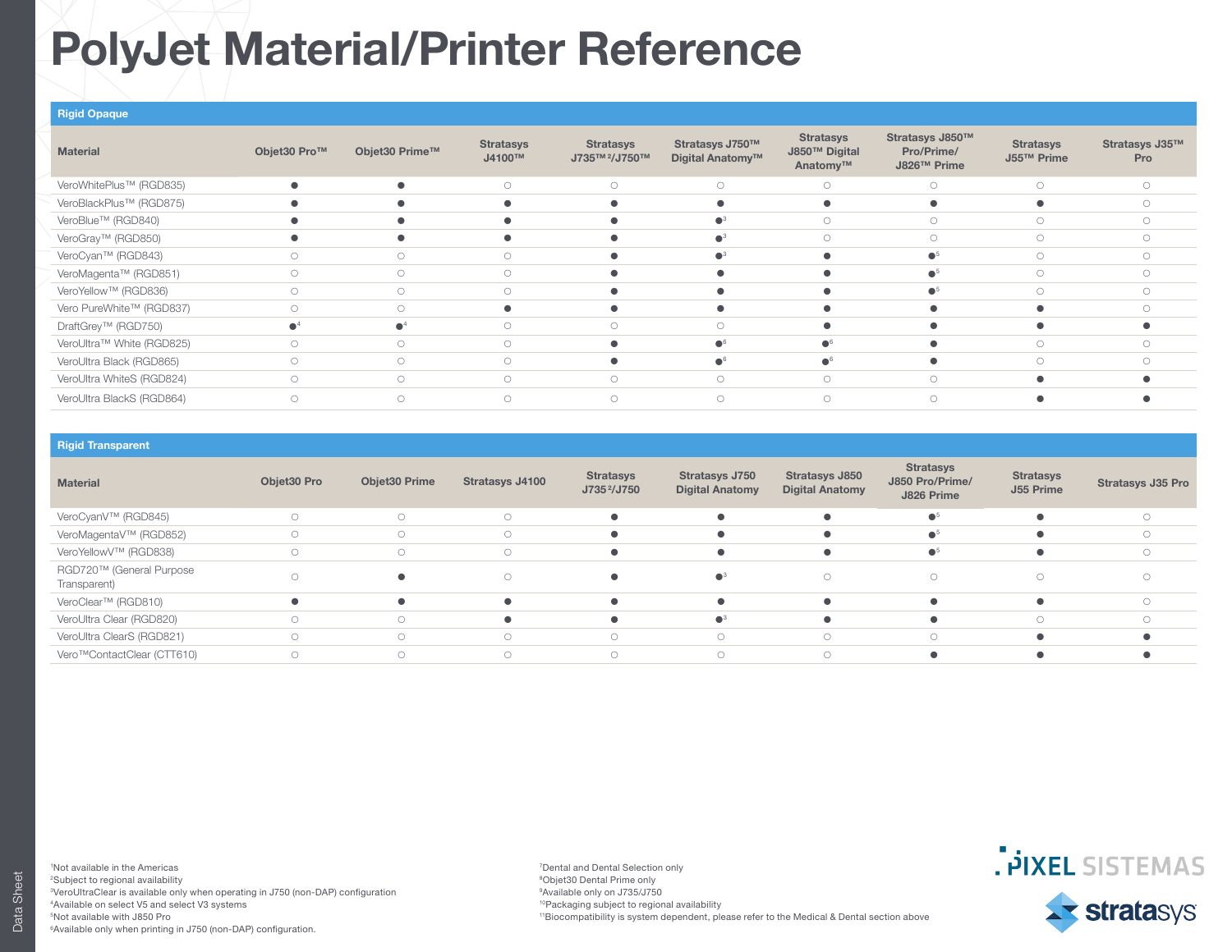### Rigid Opaque

| <b>Material</b>           | Objet30 Pro™ | Objet30 Prime™ | <b>Stratasys</b><br>J4100™ | <b>Stratasys</b><br>J735TM2/J750TM | Stratasys J750™<br>Digital Anatomy™ | <b>Stratasys</b><br>J850™ Digital<br>Anatomy™ | Stratasys J850™<br>Pro/Prime/<br>J826™ Prime | <b>Stratasys</b><br>J55™ Prime | Stratasys J35™<br>Pro |
|---------------------------|--------------|----------------|----------------------------|------------------------------------|-------------------------------------|-----------------------------------------------|----------------------------------------------|--------------------------------|-----------------------|
| VeroWhitePlus™ (RGD835)   |              |                | $\bigcirc$                 | $\bigcirc$                         | $\circ$                             | $\bigcirc$                                    | $\circ$                                      | $\bigcirc$                     | $\bigcirc$            |
| VeroBlackPlus™ (RGD875)   |              |                |                            |                                    |                                     |                                               |                                              | ٠                              | ∩                     |
| VeroBlue™ (RGD840)        |              |                |                            |                                    |                                     | $\bigcirc$                                    | $\bigcirc$                                   | $\bigcap$                      | $\bigcap$             |
| VeroGray™ (RGD850)        |              |                |                            |                                    | $\bullet^3$                         | $\bigcirc$                                    | $\circ$                                      | $\bigcirc$                     | $\bigcirc$            |
| VeroCyan™ (RGD843)        |              |                | $\bigcirc$                 |                                    |                                     |                                               | $\bullet$ <sup>5</sup>                       | $\bigcirc$                     | ∩                     |
| VeroMagenta™ (RGD851)     |              | $\bigcirc$     | $\bigcirc$                 |                                    |                                     |                                               | $\bullet^5$                                  | $\bigcirc$                     | $\bigcirc$            |
| VeroYellow™ (RGD836)      | $\circ$      | $\bigcirc$     | $\bigcirc$                 | ●                                  |                                     | $\bullet$                                     | $\bullet^5$                                  | $\bigcirc$                     | $\bigcirc$            |
| Vero PureWhite™ (RGD837)  |              |                |                            |                                    |                                     |                                               |                                              |                                |                       |
| DraftGrey™ (RGD750)       |              |                | $\bigcirc$                 | $\bigcirc$                         | $\bigcirc$                          |                                               |                                              |                                |                       |
| VeroUltra™ White (RGD825) |              | $\bigcirc$     | $\bigcirc$                 | ٠                                  | $\bullet^6$                         | $\bullet^6$                                   | ٠                                            | $\bigcirc$                     | $\bigcirc$            |
| VeroUltra Black (RGD865)  | $\bigcirc$   | $\bigcirc$     | $\bigcirc$                 |                                    | $\bullet$ <sup>6</sup>              | $\bullet$ <sup>6</sup>                        |                                              | $\bigcap$                      | $\cap$                |
| VeroUltra WhiteS (RGD824) |              | $\bigcirc$     | $\bigcirc$                 | $\bigcirc$                         | $\bigcirc$                          | $\bigcirc$                                    | $\bigcirc$                                   |                                |                       |
| VeroUltra BlackS (RGD864) |              | $\bigcirc$     | $\bigcirc$                 | $\bigcirc$                         | $\bigcirc$                          | $\bigcirc$                                    | $\bigcirc$                                   |                                |                       |

### Rigid Transparent

| <b>Material</b>                          | Objet30 Pro | Objet30 Prime | <b>Stratasys J4100</b> | <b>Stratasys</b><br>J735 <sup>2</sup> /J750 | <b>Stratasys J750</b><br><b>Digital Anatomy</b> | <b>Stratasys J850</b><br><b>Digital Anatomy</b> | <b>Stratasys</b><br>J850 Pro/Prime/<br>J826 Prime | <b>Stratasys</b><br>J55 Prime | <b>Stratasys J35 Pro</b> |
|------------------------------------------|-------------|---------------|------------------------|---------------------------------------------|-------------------------------------------------|-------------------------------------------------|---------------------------------------------------|-------------------------------|--------------------------|
| VeroCyanV™ (RGD845)                      |             | $\bigcirc$    | $\bigcirc$             | $\bullet$                                   |                                                 |                                                 | $\bullet$ <sup>5</sup>                            |                               | $\bigcirc$               |
| VeroMagentaV™ (RGD852)                   |             | ∩             |                        | $\bullet$                                   |                                                 |                                                 | $\bullet^5$                                       |                               | $\bigcirc$               |
| VeroYellowV™ (RGD838)                    |             | $\bigcirc$    | $\bigcirc$             | $\bullet$                                   | $\bullet$                                       | $\bullet$                                       | $\bullet^5$                                       |                               | O                        |
| RGD720™ (General Purpose<br>Transparent) |             |               |                        | $\bullet$                                   |                                                 | $\circ$                                         | ∩                                                 | $\bigcirc$                    |                          |
| VeroClear <sup>™</sup> (RGD810)          |             |               |                        | $\bullet$                                   |                                                 |                                                 |                                                   |                               | $\bigcirc$               |
| VeroUltra Clear (RGD820)                 |             | $\bigcap$     | $\bullet$              | $\bullet$                                   | $\bullet^3$                                     | $\bullet$                                       |                                                   | $\bigcirc$                    | $\bigcirc$               |
| VeroUltra ClearS (RGD821)                |             |               | $\bigcirc$             | $\bigcirc$                                  | $\bigcirc$                                      | $\bigcirc$                                      | $\bigcap$                                         |                               |                          |
| Vero <sup>™</sup> ContactClear (CTT610)  |             |               | $\bigcirc$             | $\bigcirc$                                  | $\bigcirc$                                      | $\bigcirc$                                      |                                                   |                               |                          |

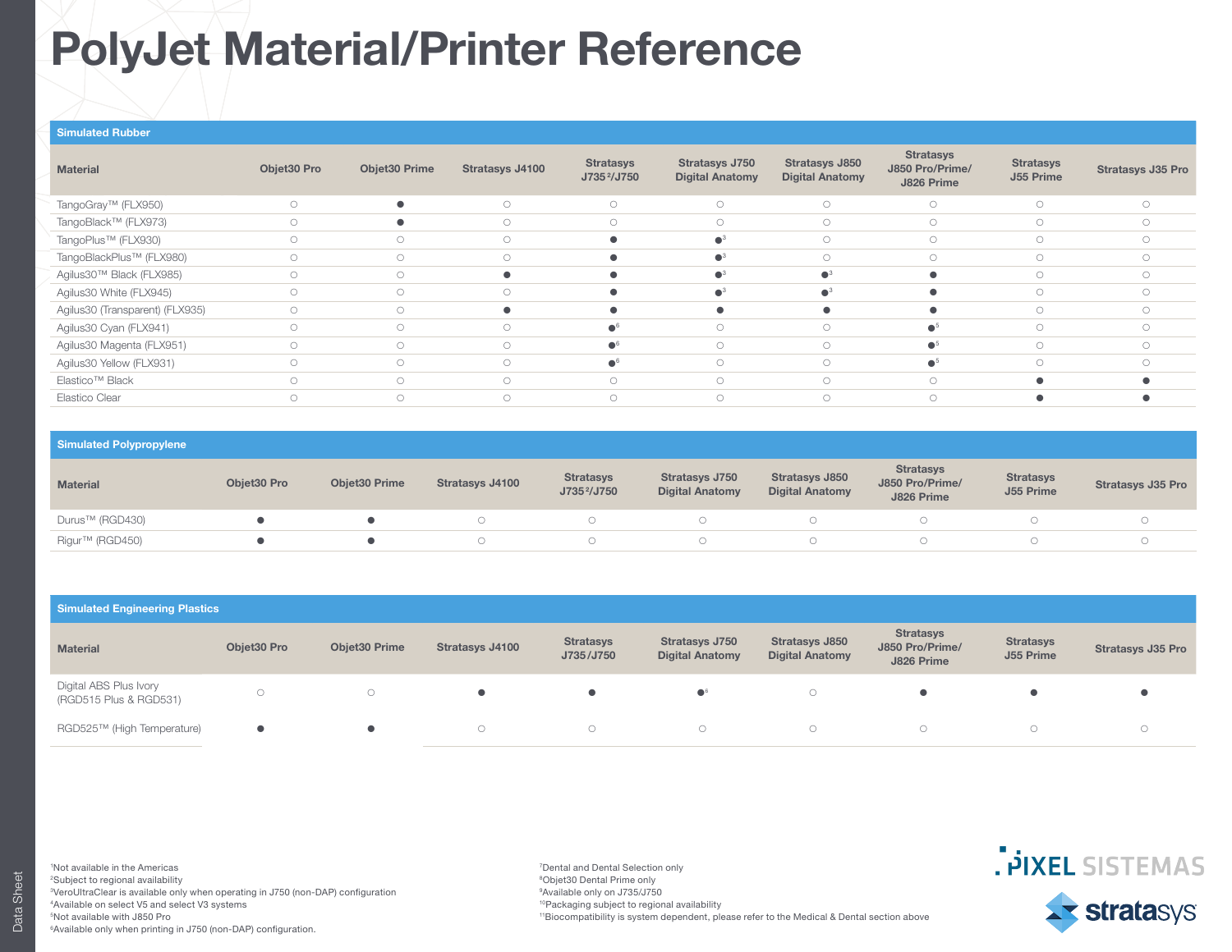#### Simulated Rubber

| <b>Material</b>                 | Objet30 Pro | <b>Objet30 Prime</b> | <b>Stratasys J4100</b> | <b>Stratasys</b><br>J735 <sup>2</sup> /J750 | <b>Stratasys J750</b><br><b>Digital Anatomy</b> | <b>Stratasys J850</b><br><b>Digital Anatomy</b> | <b>Stratasys</b><br>J850 Pro/Prime/<br>J826 Prime | <b>Stratasys</b><br>J55 Prime | <b>Stratasys J35 Pro</b> |
|---------------------------------|-------------|----------------------|------------------------|---------------------------------------------|-------------------------------------------------|-------------------------------------------------|---------------------------------------------------|-------------------------------|--------------------------|
| TangoGray™ (FLX950)             | $\bigcirc$  | $\bullet$            | $\circ$                | $\circ$                                     | $\circ$                                         | $\circ$                                         | $\circ$                                           | $\circ$                       | $\bigcirc$               |
| TangoBlack™ (FLX973)            | $\circ$     |                      | $\circ$                | $\circ$                                     | $\bigcirc$                                      | $\circ$                                         | $\circ$                                           |                               |                          |
| TangoPlus™ (FLX930)             | $\bigcap$   | $\bigcirc$           | $\bigcirc$             |                                             | $\bullet^3$                                     | $\bigcirc$                                      | $\bigcirc$                                        | $\bigcirc$                    | $\bigcap$                |
| TangoBlackPlus™ (FLX980)        |             | $\bigcirc$           | $\bigcirc$             |                                             | $\bullet^3$                                     | $\bigcirc$                                      | $\bigcirc$                                        |                               |                          |
| Agilus30™ Black (FLX985)        | $\bigcirc$  | $\circ$              | $\bullet$              | $\bullet$                                   | $\bullet^3$                                     | $\bullet^3$                                     | $\bullet$                                         | $\bigcirc$                    | $\bigcirc$               |
| Agilus30 White (FLX945)         | $\bigcirc$  | $\bigcirc$           | $\bigcirc$             |                                             | $\bullet^3$                                     | $\bullet^3$                                     | $\bullet$                                         | $\bigcap$                     | $\cap$                   |
| Agilus30 (Transparent) (FLX935) | $\bigcirc$  | $\circ$              |                        |                                             | ٠                                               |                                                 | ٠                                                 | $\bigcirc$                    |                          |
| Agilus30 Cyan (FLX941)          | $\bigcirc$  | $\bigcirc$           | $\bigcirc$             | $\bullet^6$                                 | $\bigcap$                                       | $\bigcirc$                                      | $\bullet^5$                                       | $\bigcirc$                    | $\cap$                   |
| Agilus30 Magenta (FLX951)       | $\bigcirc$  | $\bigcirc$           | $\bigcirc$             | $\bullet^6$                                 | $\bigcap$                                       | $\bigcirc$                                      | $\bullet^5$                                       |                               |                          |
| Agilus30 Yellow (FLX931)        | $\bigcirc$  | $\bigcirc$           | $\bigcirc$             | $\bullet^6$                                 | $\bigcirc$                                      | $\bigcirc$                                      | $\bullet^5$                                       | $\bigcirc$                    | $\bigcirc$               |
| Elastico <sup>™</sup> Black     | ∩           | $\bigcirc$           | $\bigcirc$             | $\bigcirc$                                  | $\bigcirc$                                      | $\bigcirc$                                      | $\circ$                                           |                               |                          |
| Elastico Clear                  | $\bigcap$   | $\bigcirc$           | $\bigcirc$             | $\circ$                                     | $\bigcap$                                       | $\bigcirc$                                      | $\bigcirc$                                        |                               |                          |

#### Simulated Polypropylene

| <b>Material</b> | Objet30 Pro | <b>Obiet30 Prime</b> | Stratasys J4100 | <b>Stratasys</b><br>J735 <sup>2</sup> /J750 | Stratasys J750<br><b>Digital Anatomy</b> | <b>Stratasys J850</b><br><b>Digital Anatomy</b> | <b>Stratasys</b><br>J850 Pro/Prime/<br>J826 Prime | <b>Stratasys</b><br>J55 Prime | <b>Stratasys J35 Pro</b> |
|-----------------|-------------|----------------------|-----------------|---------------------------------------------|------------------------------------------|-------------------------------------------------|---------------------------------------------------|-------------------------------|--------------------------|
| Durus™ (RGD430) |             |                      |                 |                                             |                                          |                                                 |                                                   |                               |                          |
| Rigur™ (RGD450) |             |                      |                 |                                             |                                          |                                                 |                                                   |                               |                          |

#### Simulated Engineering Plastics

1 Not available in the Americas 2 Subject to regional availability

5Not available with J850 Pro

| <b>Material</b>                                  | Objet30 Pro | <b>Obiet30 Prime</b> | <b>Stratasys J4100</b> | <b>Stratasys</b><br>J735/J750 | <b>Stratasys J750</b><br><b>Digital Anatomy</b> | <b>Stratasys J850</b><br><b>Digital Anatomy</b> | <b>Stratasys</b><br>J850 Pro/Prime/<br>J826 Prime | <b>Stratasys</b><br>J55 Prime | <b>Stratasys J35 Pro</b> |
|--------------------------------------------------|-------------|----------------------|------------------------|-------------------------------|-------------------------------------------------|-------------------------------------------------|---------------------------------------------------|-------------------------------|--------------------------|
| Digital ABS Plus Ivory<br>(RGD515 Plus & RGD531) |             |                      |                        |                               | $\bullet$ <sup>6</sup>                          |                                                 |                                                   |                               |                          |
| RGD525™ (High Temperature)                       | $\bullet$   |                      |                        |                               |                                                 |                                                 |                                                   |                               |                          |



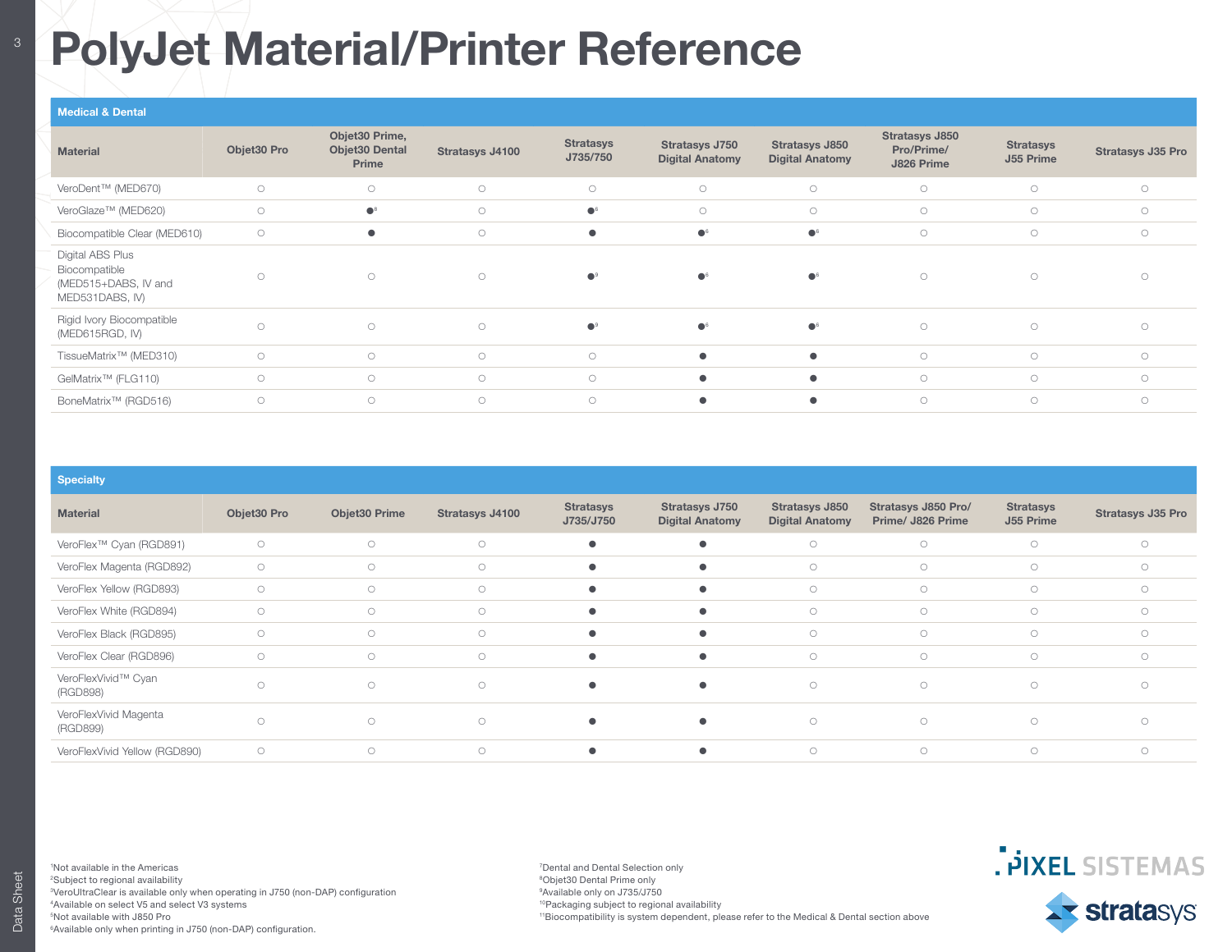| <b>Medical &amp; Dental</b>                                                  |             |                                           |                     |                              |                                          |                                          |                                                   |                               |                          |  |  |
|------------------------------------------------------------------------------|-------------|-------------------------------------------|---------------------|------------------------------|------------------------------------------|------------------------------------------|---------------------------------------------------|-------------------------------|--------------------------|--|--|
| <b>Material</b>                                                              | Objet30 Pro | Objet30 Prime,<br>Objet30 Dental<br>Prime | Stratasys J4100     | <b>Stratasys</b><br>J735/750 | Stratasys J750<br><b>Digital Anatomy</b> | Stratasys J850<br><b>Digital Anatomy</b> | <b>Stratasys J850</b><br>Pro/Prime/<br>J826 Prime | <b>Stratasys</b><br>J55 Prime | <b>Stratasys J35 Pro</b> |  |  |
| VeroDent™ (MED670)                                                           | $\bigcirc$  | $\circ$                                   | $\circlearrowright$ | $\circ$                      | $\circlearrowright$                      | $\circ$                                  | $\circ$                                           | $\circ$                       | $\circ$                  |  |  |
| VeroGlaze™ (MED620)                                                          | $\circ$     | $\bullet^8$                               | $\circlearrowright$ | $\bullet$ <sup>6</sup>       | $\circ$                                  | $\circ$                                  | $\circ$                                           | $\circ$                       | $\circ$                  |  |  |
| Biocompatible Clear (MED610)                                                 | $\circ$     |                                           | $\circlearrowright$ | $\bullet$                    | $\bullet$ <sup>6</sup>                   | $\bullet$ <sup>6</sup>                   | $\circ$                                           | $\circ$                       | $\circ$                  |  |  |
| Digital ABS Plus<br>Biocompatible<br>(MED515+DABS, IV and<br>MED531DABS, IV) | $\bigcirc$  | $\circ$                                   | $\circ$             | $^{\circ}$                   | $\bullet$ <sup>6</sup>                   | 66                                       | $\circ$                                           | $\circ$                       | $\circ$                  |  |  |
| Rigid Ivory Biocompatible<br>(MED615RGD, IV)                                 | $\bigcirc$  | $\circ$                                   | $\circ$             | $\bullet^9$                  | $\bullet$ <sup>6</sup>                   | $\bullet$ <sup>6</sup>                   | $\circ$                                           | $\circ$                       | $\circ$                  |  |  |
| TissueMatrix <sup>™</sup> (MED310)                                           | $\bigcirc$  | $\circ$                                   | $\circ$             | $\circ$                      | $\bullet$                                | $\bullet$                                | $\circ$                                           | $\circ$                       | $\circ$                  |  |  |
| GelMatrix <sup>™</sup> (FLG110)                                              | $\circ$     | $\circ$                                   | $\circ$             | $\circ$                      | $\bullet$                                | $\bullet$                                | $\circ$                                           | $\circ$                       | $\circ$                  |  |  |
| BoneMatrix <sup>™</sup> (RGD516)                                             | $\circ$     | $\circ$                                   | $\circ$             | $\circ$                      | $\bullet$                                | $\bullet$                                | $\circ$                                           | $\circ$                       | $\circ$                  |  |  |

#### **Specialty**

| ________                            |             |               |                 |                               |                                                 |                                                 |                                          |                               |                          |
|-------------------------------------|-------------|---------------|-----------------|-------------------------------|-------------------------------------------------|-------------------------------------------------|------------------------------------------|-------------------------------|--------------------------|
| <b>Material</b>                     | Objet30 Pro | Objet30 Prime | Stratasys J4100 | <b>Stratasys</b><br>J735/J750 | <b>Stratasys J750</b><br><b>Digital Anatomy</b> | <b>Stratasys J850</b><br><b>Digital Anatomy</b> | Stratasys J850 Pro/<br>Prime/ J826 Prime | <b>Stratasys</b><br>J55 Prime | <b>Stratasys J35 Pro</b> |
| VeroFlex <sup>™</sup> Cyan (RGD891) | $\circ$     | $\circ$       | $\circ$         | $\bullet$                     | $\bullet$                                       | $\circ$                                         | $\bigcirc$                               | $\circ$                       | $\bigcirc$               |
| VeroFlex Magenta (RGD892)           | $\circ$     | $\circ$       | $\circ$         | $\bullet$                     | $\bullet$                                       | $\circ$                                         | $\circ$                                  | $\circ$                       | $\circ$                  |
| VeroFlex Yellow (RGD893)            | $\bigcirc$  | $\circ$       | $\circ$         | $\bullet$                     | $\bullet$                                       | $\circ$                                         | $\bigcirc$                               | $\circ$                       | $\bigcirc$               |
| VeroFlex White (RGD894)             | $\bigcirc$  | $\bigcirc$    | $\circ$         | $\bullet$                     | $\bullet$                                       | $\circ$                                         | $\bigcirc$                               | $\circ$                       | $\bigcirc$               |
| VeroFlex Black (RGD895)             | $\bigcirc$  | $\circ$       | $\circ$         | $\bullet$                     | $\bullet$                                       | $\circ$                                         | $\bigcirc$                               | $\circ$                       | $\bigcirc$               |
| VeroFlex Clear (RGD896)             | $\circ$     | $\bigcirc$    | $\bigcirc$      | $\bullet$                     | $\bullet$                                       | $\circ$                                         | $\bigcirc$                               | $\bigcirc$                    | $\bigcirc$               |
| VeroFlexVivid™ Cyan<br>(RGD898)     | $\bigcirc$  | $\bigcirc$    | $\circ$         | $\bullet$                     | $\bullet$                                       | $\circ$                                         | $\circ$                                  | $\circ$                       | $\bigcirc$               |
| VeroFlexVivid Magenta<br>(RGD899)   | $\bigcirc$  | $\bigcirc$    | $\circ$         |                               | $\bullet$                                       | $\circ$                                         | $\bigcirc$                               | $\circ$                       | $\bigcirc$               |
| VeroFlexVivid Yellow (RGD890)       | $\circ$     | $\circ$       | $\circ$         | $\bullet$                     | $\bullet$                                       | $\circ$                                         | $\bigcirc$                               | $\bigcirc$                    | $\circ$                  |
|                                     |             |               |                 |                               |                                                 |                                                 |                                          |                               |                          |

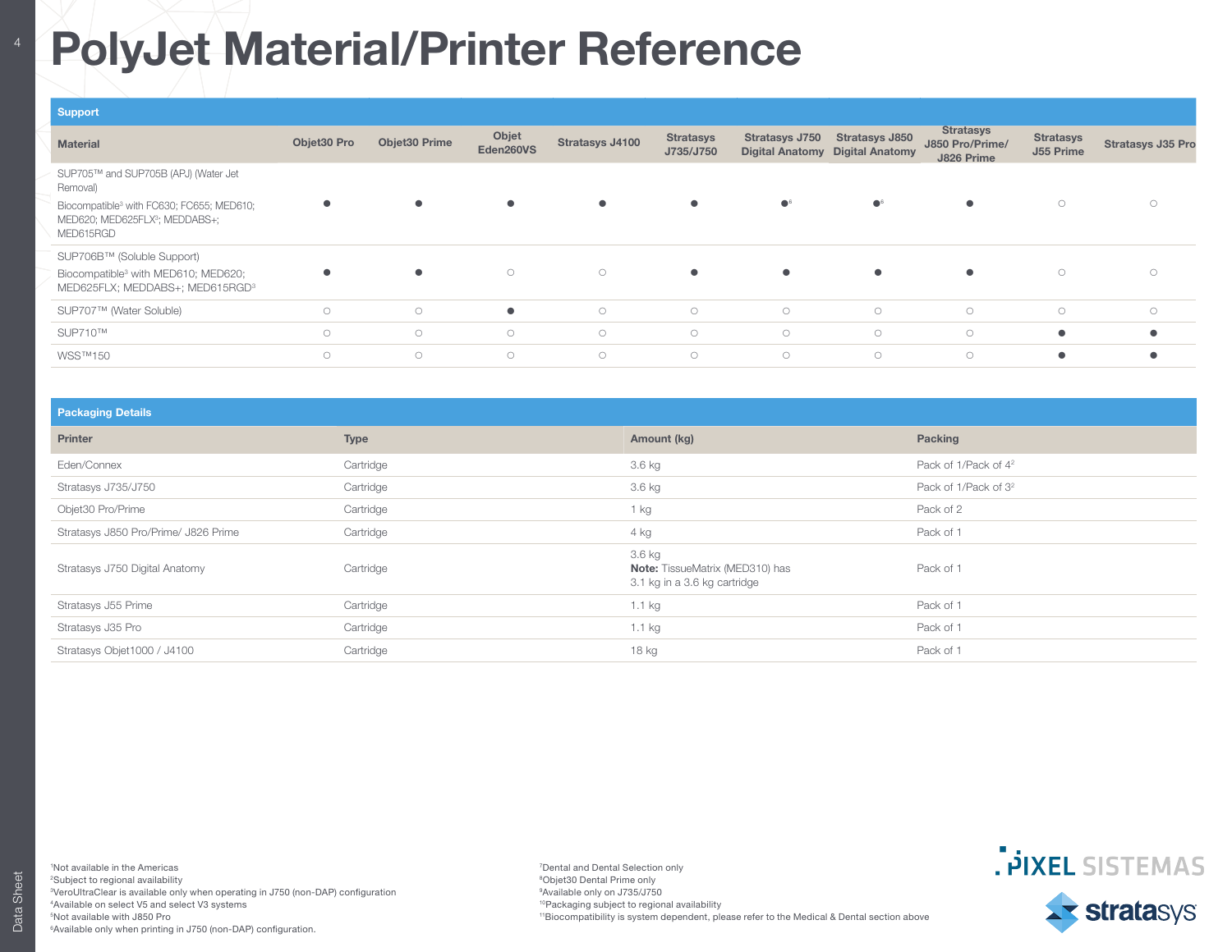| <b>Support</b>                                                                                                   |             |               |                    |                 |                               |                        |                                                                 |                                                   |                               |                          |
|------------------------------------------------------------------------------------------------------------------|-------------|---------------|--------------------|-----------------|-------------------------------|------------------------|-----------------------------------------------------------------|---------------------------------------------------|-------------------------------|--------------------------|
| <b>Material</b>                                                                                                  | Objet30 Pro | Objet30 Prime | Objet<br>Eden260VS | Stratasys J4100 | <b>Stratasys</b><br>J735/J750 | Stratasys J750         | <b>Stratasys J850</b><br><b>Digital Anatomy Digital Anatomy</b> | <b>Stratasys</b><br>J850 Pro/Prime/<br>J826 Prime | <b>Stratasys</b><br>J55 Prime | <b>Stratasys J35 Pro</b> |
| SUP705™ and SUP705B (APJ) (Water Jet<br>Removal)                                                                 |             |               |                    |                 |                               |                        |                                                                 |                                                   |                               |                          |
| Biocompatible <sup>3</sup> with FC630; FC655; MED610;<br>MED620; MED625FLX <sup>3</sup> ; MEDDABS+;<br>MED615RGD |             |               |                    | $\bullet$       |                               | $\bullet$ <sup>6</sup> | $\bullet$ <sup>6</sup>                                          |                                                   | $\bigcirc$                    | $\bigcirc$               |
| SUP706B™ (Soluble Support)                                                                                       |             |               |                    |                 |                               |                        |                                                                 |                                                   |                               |                          |
| Biocompatible <sup>3</sup> with MED610; MED620;<br>MED625FLX; MEDDABS+; MED615RGD <sup>3</sup>                   |             |               | $\circ$            | $\circ$         |                               |                        |                                                                 |                                                   | $\bigcirc$                    | $\circ$                  |
| SUP707™ (Water Soluble)                                                                                          | $\circ$     | $\circ$       | ٠                  | $\circ$         | $\circ$                       | $\circ$                | $\circ$                                                         | $\circ$                                           | $\circ$                       | $\bigcirc$               |
| SUP710™                                                                                                          | $\circ$     | $\circ$       | $\circ$            | $\circ$         | $\circ$                       | $\circ$                | $\circ$                                                         | $\circ$                                           | ٠                             |                          |
| WSS™150                                                                                                          | $\circ$     | $\circ$       | $\circ$            | $\circ$         | $\circ$                       | $\circ$                | $\circ$                                                         | $\circ$                                           |                               |                          |
|                                                                                                                  |             |               |                    |                 |                               |                        |                                                                 |                                                   |                               |                          |

Packaging Details Printer Type Amount (kg) Packing Eden/Connex Cartridge 3.6 kg Pack of 1/Pack of 42 Stratasys J735/J750 Cartridge 3.6 kg Pack of 1/Pack of 32 Objet30 Pro/Prime Cartridge 1 kg Pack of 2 Stratasys J850 Pro/Prime/ J826 Prime Cartridge Cartridge Cartridge Assessment Cartes and Assessment Cartes and Pack of 1 Stratasys J750 Digital Anatomy Cartridge 3.6 kg Note: TissueMatrix (MED310) has 3.1 kg in a 3.6 kg cartridge Pack of 1 Stratasys J55 Prime **1.1 kg** Pack of 1.1 kg Pack of 1.1 kg Pack of 1.1 kg Pack of 1.1 kg Pack of 1.1 kg Pack of 1.1 kg Pack of 1.1 kg Pack of 1.1 kg Pack of 1.1 kg Pack of 1.1 kg Pack of 1.1 kg Pack of 1.1 kg Pack of 1.1 k Stratasys J35 Pro Cartridge 1.1 kg Pack of 1.1 kg Pack of 1.1 kg Pack of 1.1 kg Pack of 1.1 kg Pack of 1.1 kg Pack of 1.1 kg Pack of 1.1 kg Pack of 1.1 kg Pack of 1.1 kg Pack of 1.1 kg Pack of 1.1 kg Pack of 1.1 kg Pack of Stratasys Objet1000 / J4100 Cartridge Cartridge Cartridge 18 kg 18 kg Pack of 1

Data Sheet

Data:

Sheet